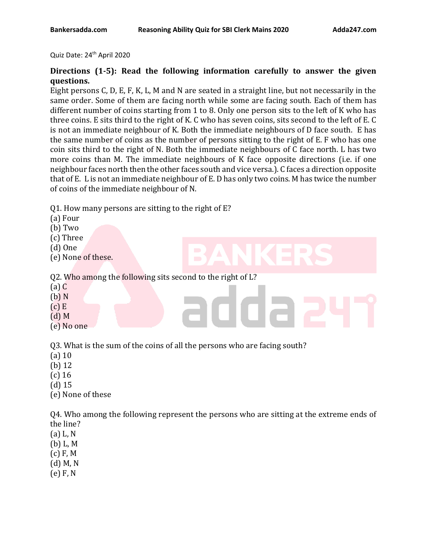Quiz Date: 24<sup>th</sup> April 2020

## **Directions (1-5): Read the following information carefully to answer the given questions.**

Eight persons C, D, E, F, K, L, M and N are seated in a straight line, but not necessarily in the same order. Some of them are facing north while some are facing south. Each of them has different number of coins starting from 1 to 8. Only one person sits to the left of K who has three coins. E sits third to the right of K. C who has seven coins, sits second to the left of E. C is not an immediate neighbour of K. Both the immediate neighbours of D face south. E has the same number of coins as the number of persons sitting to the right of E. F who has one coin sits third to the right of N. Both the immediate neighbours of C face north. L has two more coins than M. The immediate neighbours of K face opposite directions (i.e. if one neighbour faces north then the other faces south and vice versa.). C faces a direction opposite that of E. L is not an immediate neighbour of E. D has only two coins. M has twice the number of coins of the immediate neighbour of N.

Q1. How many persons are sitting to the right of E?

- (a) Four
- (b) Two
- (c) Three
- (d) One
- (e) None of these.

Q2. Who among the following sits second to the right of L?

- (a) C
- (b) N
- $(c)$  E
- (d) M
- (e) No one

Q3. What is the sum of the coins of all the persons who are facing south?

- (a) 10
- (b) 12
- (c) 16
- (d) 15
- (e) None of these

Q4. Who among the following represent the persons who are sitting at the extreme ends of the line?

- (a) L, N
- (b) L, M
- (c) F, M
- (d) M, N
- (e) F, N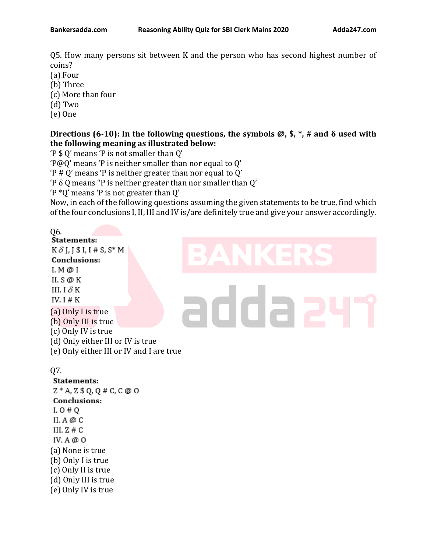Q5. How many persons sit between K and the person who has second highest number of coins?

- (a) Four
- (b) Three
- (c) More than four
- (d) Two
- (e) One

### **Directions (6-10): In the following questions, the symbols @, \$, \*, # and δ used with the following meaning as illustrated below:**

'P \$ Q' means 'P is not smaller than Q'

'P@Q' means 'P is neither smaller than nor equal to Q'

'P # Q' means 'P is neither greater than nor equal to Q'

'P δ Q means "P is neither greater than nor smaller than Q'

'P \*Q' means 'P is not greater than Q'

Now, in each of the following questions assuming the given statements to be true, find which of the four conclusions I, II, III and IV is/are definitely true and give your answer accordingly.

Q6.<br>Statements:  $K\delta$  J, J \$ I, I # S, S\* M **Conclusions:**  $I. M @ I$ II. S @ K III. I  $\delta$  K IV.  $I \# K$ (a) Only I is true (b) Only III is true (c) Only IV is true (d) Only either III or IV is true (e) Only either III or IV and I are true

# addaa

# Q7.

**Statements:**  $Z * A$ ,  $Z * Q$ ,  $Q \# C$ ,  $C \oslash Q$ Conclusions:  $I. O # Q$ II. A  $@C$ III.  $Z \# C$ IV. A  $@$  O (a) None is true (b) Only I is true (c) Only II is true (d) Only III is true (e) Only IV is true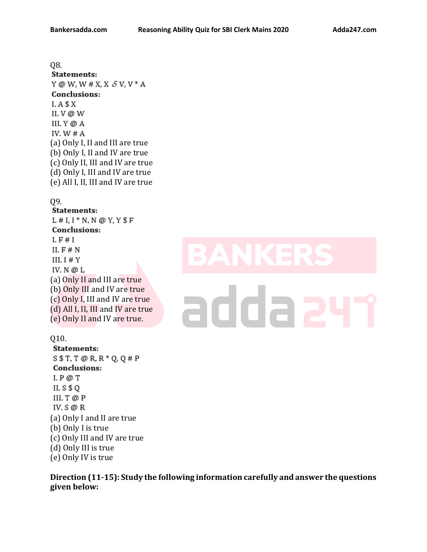## Q8. **Statements:** Y @ W, W # X, X  $\delta$  V, V  $*$  A Conclusions:  $I. A $X$ II.  $V @ W$ III. Y @ A IV.  $W \# A$ (a) Only I, II and III are true (b) Only I, II and IV are true (c) Only II, III and IV are true (d) Only I, III and IV are true (e) All I, II, III and IV are true

### Q9.

### Statements:

 $L# I, I * N, N @ Y, Y $F$ Conclusions:  $I. F \# I$ II.  $F \# N$ III.  $I \# Y$ IV.  $N @ L$ (a) Only II and III are true (b) Only III and IV are true (c) Only I, III and IV are true (d) All I, II, III and IV are true (e) Only II and IV are true.

# adda a

### Q10.

Statements:  $S $T,T \oslash R$ , R \* Q, Q # P Conclusions:  $I. P @ T$ II.  $S$  \$ Q III. T @ P IV.  $S \oslash R$ (a) Only I and II are true (b) Only I is true (c) Only III and IV are true (d) Only III is true (e) Only IV is true

**Direction (11-15): Study the following information carefully and answer the questions given below:**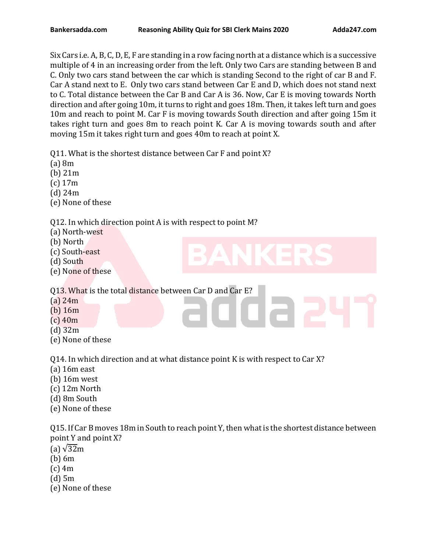Six Cars i.e. A, B, C, D, E, F are standing in a row facing north at a distance which is a successive multiple of 4 in an increasing order from the left. Only two Cars are standing between B and C. Only two cars stand between the car which is standing Second to the right of car B and F. Car A stand next to E. Only two cars stand between Car E and D, which does not stand next to C. Total distance between the Car B and Car A is 36. Now, Car E is moving towards North direction and after going 10m, it turns to right and goes 18m. Then, it takes left turn and goes 10m and reach to point M. Car F is moving towards South direction and after going 15m it takes right turn and goes 8m to reach point K. Car A is moving towards south and after moving 15m it takes right turn and goes 40m to reach at point X.

Q11. What is the shortest distance between Car F and point X?

- (a) 8m
- (b) 21m
- (c) 17m
- (d) 24m
- (e) None of these

Q12. In which direction point A is with respect to point M?

- (a) North-west
- (b) North
- (c) South-east
- (d) South
- (e) None of these

Q13. What is the total distance between Car D and Car E?

- (a) 24m
- (b) 16m
- (c) 40m
- (d) 32m
- (e) None of these

Q14. In which direction and at what distance point K is with respect to Car X?

- (a) 16m east
- (b) 16m west
- (c) 12m North
- (d) 8m South
- (e) None of these

Q15. If Car B moves 18m in South to reach point Y, then what is the shortest distance between point Y and point X?

- (a)  $\sqrt{32}$ m
- (b) 6m
- (c) 4m
- (d) 5m
- (e) None of these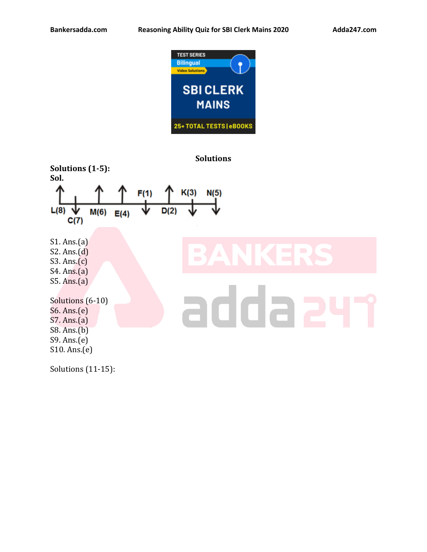